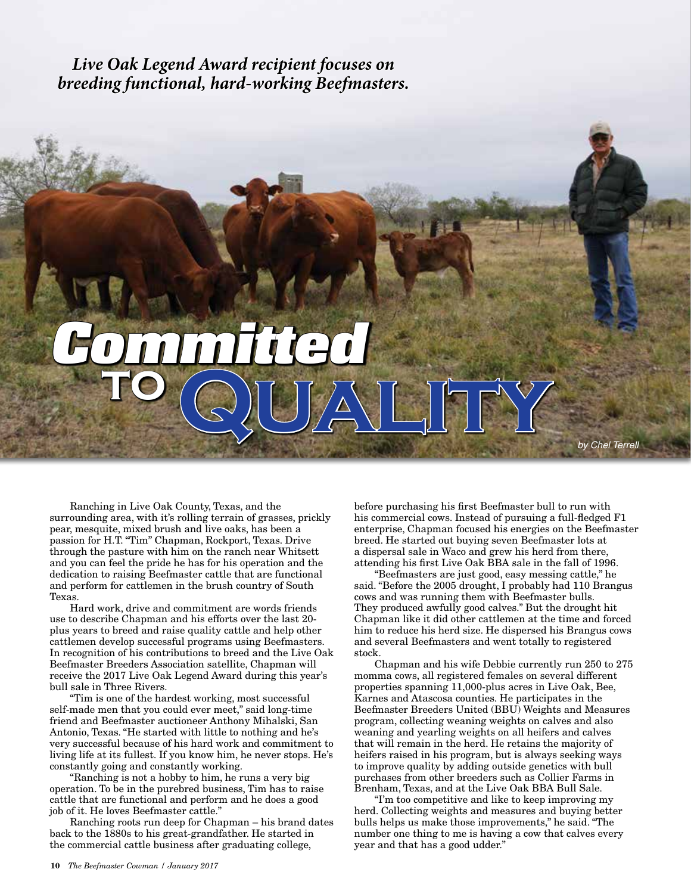*Live Oak Legend Award recipient focuses on breeding functional, hard-working Beefmasters.*

## $\sqrt{2}\sqrt{L}\sqrt{L}\sqrt{L}\sqrt{L}$ *Committed* **to**

Ranching in Live Oak County, Texas, and the surrounding area, with it's rolling terrain of grasses, prickly pear, mesquite, mixed brush and live oaks, has been a passion for H.T. "Tim" Chapman, Rockport, Texas. Drive through the pasture with him on the ranch near Whitsett and you can feel the pride he has for his operation and the dedication to raising Beefmaster cattle that are functional and perform for cattlemen in the brush country of South Texas.

Hard work, drive and commitment are words friends use to describe Chapman and his efforts over the last 20 plus years to breed and raise quality cattle and help other cattlemen develop successful programs using Beefmasters. In recognition of his contributions to breed and the Live Oak Beefmaster Breeders Association satellite, Chapman will receive the 2017 Live Oak Legend Award during this year's bull sale in Three Rivers.

"Tim is one of the hardest working, most successful self-made men that you could ever meet," said long-time friend and Beefmaster auctioneer Anthony Mihalski, San Antonio, Texas. "He started with little to nothing and he's very successful because of his hard work and commitment to living life at its fullest. If you know him, he never stops. He's constantly going and constantly working.

"Ranching is not a hobby to him, he runs a very big operation. To be in the purebred business, Tim has to raise cattle that are functional and perform and he does a good job of it. He loves Beefmaster cattle."

Ranching roots run deep for Chapman – his brand dates back to the 1880s to his great-grandfather. He started in the commercial cattle business after graduating college,

before purchasing his first Beefmaster bull to run with his commercial cows. Instead of pursuing a full-fledged F1 enterprise, Chapman focused his energies on the Beefmaster breed. He started out buying seven Beefmaster lots at a dispersal sale in Waco and grew his herd from there, attending his first Live Oak BBA sale in the fall of 1996.

"Beefmasters are just good, easy messing cattle," he said. "Before the 2005 drought, I probably had 110 Brangus cows and was running them with Beefmaster bulls. They produced awfully good calves." But the drought hit Chapman like it did other cattlemen at the time and forced him to reduce his herd size. He dispersed his Brangus cows and several Beefmasters and went totally to registered stock.

Chapman and his wife Debbie currently run 250 to 275 momma cows, all registered females on several different properties spanning 11,000-plus acres in Live Oak, Bee, Karnes and Atascosa counties. He participates in the Beefmaster Breeders United (BBU) Weights and Measures program, collecting weaning weights on calves and also weaning and yearling weights on all heifers and calves that will remain in the herd. He retains the majority of heifers raised in his program, but is always seeking ways to improve quality by adding outside genetics with bull purchases from other breeders such as Collier Farms in Brenham, Texas, and at the Live Oak BBA Bull Sale.

"I'm too competitive and like to keep improving my herd. Collecting weights and measures and buying better bulls helps us make those improvements," he said. "The number one thing to me is having a cow that calves every year and that has a good udder."